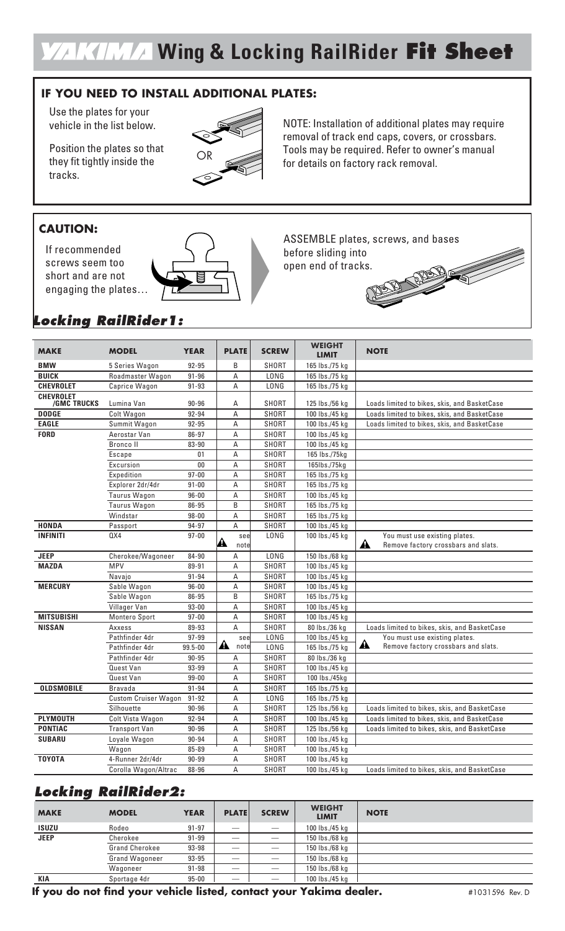## **Wing & Locking RailRider Fit Sheet**

#### **IF YOU NEED TO INSTALL ADDITIONAL PLATES:**

Use the plates for your vehicle in the list below.

Position the plates so that they fit tightly inside the tracks.



### **CAUTION:**

If recommended screws seem too short and are not engaging the plates…



NOTE: Installation of additional plates may require removal of track end caps, covers, or crossbars. Tools may be required. Refer to owner's manual for details on factory rack removal.

ASSEMBLE plates, screws, and bases before sliding into open end of tracks. DES ST

## **Locking RailRider1:**

| <b>MAKE</b>        | <b>MODEL</b>                | <b>YEAR</b> | <b>PLATE</b>              | <b>SCREW</b> | <b>WEIGHT</b><br><b>LIMIT</b> | <b>NOTE</b>                                             |
|--------------------|-----------------------------|-------------|---------------------------|--------------|-------------------------------|---------------------------------------------------------|
| <b>BMW</b>         | 5 Series Wagon              | 92-95       | B                         | <b>SHORT</b> | 165 lbs./75 kg                |                                                         |
| <b>BUICK</b>       | Roadmaster Wagon            | $91 - 96$   | Α                         | LONG         | 165 lbs./75 kg                |                                                         |
| <b>CHEVROLET</b>   | Caprice Wagon               | 91-93       | Α                         | LONG         | 165 lbs./75 kg                |                                                         |
| <b>CHEVROLET</b>   |                             |             |                           |              |                               |                                                         |
| <b>/GMC TRUCKS</b> | Lumina Van                  | $90 - 96$   | Α                         | <b>SHORT</b> | 125 lbs./56 kg                | Loads limited to bikes, skis, and BasketCase            |
| <b>DODGE</b>       | Colt Wagon                  | 92-94       | A                         | <b>SHORT</b> | 100 lbs./45 kg                | Loads limited to bikes, skis, and BasketCase            |
| <b>EAGLE</b>       | Summit Wagon                | 92-95       | Α                         | <b>SHORT</b> | 100 lbs./45 kg                | Loads limited to bikes, skis, and BasketCase            |
| <b>FORD</b>        | Aerostar Van                | 86-97       | Α                         | SHORT        | 100 lbs./45 kg                |                                                         |
|                    | <b>Bronco II</b>            | 83-90       | Α                         | SHORT        | 100 lbs./45 kg                |                                                         |
|                    | Escape                      | 01          | A                         | <b>SHORT</b> | 165 lbs./75kg                 |                                                         |
|                    | Excursion                   | $00\,$      | Α                         | SHORT        | 165lbs./75kg                  |                                                         |
|                    | Expedition                  | $97 - 00$   | A                         | <b>SHORT</b> | 165 lbs./75 kg                |                                                         |
|                    | Explorer 2dr/4dr            | $91 - 00$   | Α                         | <b>SHORT</b> | 165 lbs./75 kg                |                                                         |
|                    | Taurus Wagon                | $96 - 00$   | A                         | <b>SHORT</b> | 100 lbs./45 kg                |                                                         |
|                    | Taurus Wagon                | 86-95       | B                         | SHORT        | 165 lbs./75 kg                |                                                         |
|                    | Windstar                    | $98 - 00$   | Α                         | <b>SHORT</b> | 165 lbs./75 kg                |                                                         |
| <b>HONDA</b>       | Passport                    | 94-97       | Α                         | SHORT        | 100 lbs./45 kg                |                                                         |
| <b>INFINITI</b>    | 0X4                         | $97 - 00$   | see                       | LONG         | 100 lbs./45 kg                | You must use existing plates.                           |
|                    |                             |             | A<br>notel                |              |                               | $\mathbf{A}$<br>Remove factory crossbars and slats.     |
| <b>JEEP</b>        | Cherokee/Wagoneer           | 84-90       | Α                         | LONG         | 150 lbs./68 kg                |                                                         |
| <b>MAZDA</b>       | <b>MPV</b>                  | 89-91       | Α                         | <b>SHORT</b> | 100 lbs./45 kg                |                                                         |
|                    | Navajo                      | 91-94       | A                         | <b>SHORT</b> | 100 lbs./45 kg                |                                                         |
| <b>MERCURY</b>     | Sable Wagon                 | $96 - 00$   | Α                         | SHORT        | 100 lbs./45 kg                |                                                         |
|                    | Sable Wagon                 | 86-95       | B                         | <b>SHORT</b> | 165 lbs./75 kg                |                                                         |
|                    | Villager Van                | $93 - 00$   | A                         | <b>SHORT</b> | 100 lbs./45 kg                |                                                         |
| <b>MITSUBISHI</b>  | Montero Sport               | $97 - 00$   | A                         | <b>SHORT</b> | 100 lbs./45 kg                |                                                         |
| <b>NISSAN</b>      | Axxess                      | 89-93       | A                         | <b>SHORT</b> | 80 lbs./36 kg                 | Loads limited to bikes, skis, and BasketCase            |
|                    | Pathfinder 4dr              | $97 - 99$   | see                       | LONG         | 100 lbs./45 kg                | You must use existing plates.                           |
|                    | Pathfinder 4dr              | 99.5-00     | $\blacktriangle$<br>notel | LONG         | 165 lbs./75 kg                | $\blacktriangle$<br>Remove factory crossbars and slats. |
|                    | Pathfinder 4dr              | $90 - 95$   | A                         | <b>SHORT</b> | 80 lbs./36 kg                 |                                                         |
|                    | Quest Van                   | 93-99       | Α                         | SHORT        | 100 lbs./45 kg                |                                                         |
|                    | <b>Quest Van</b>            | $99 - 00$   | A                         | <b>SHORT</b> | 100 lbs./45kg                 |                                                         |
| <b>OLDSMOBILE</b>  | <b>Bravada</b>              | $91 - 94$   | A                         | <b>SHORT</b> | 165 lbs./75 kg                |                                                         |
|                    | <b>Custom Cruiser Wagon</b> | 91-92       | A                         | <b>LONG</b>  | 165 lbs./75 kg                |                                                         |
|                    | Silhouette                  | $90 - 96$   | Α                         | SHORT        | 125 lbs./56 kg                | Loads limited to bikes, skis, and BasketCase            |
| <b>PLYMOUTH</b>    | Colt Vista Wagon            | 92-94       | Α                         | <b>SHORT</b> | 100 lbs./45 kg                | Loads limited to bikes, skis, and BasketCase            |
| <b>PONTIAC</b>     | <b>Transport Van</b>        | $90 - 96$   | A                         | SHORT        | 125 lbs./56 kg                | Loads limited to bikes, skis, and BasketCase            |
| <b>SUBARU</b>      | Loyale Wagon                | 90-94       | A                         | <b>SHORT</b> | 100 lbs./45 kg                |                                                         |
|                    | $\overline{W}$ agon         | 85-89       | Α                         | SHORT        | 100 lbs./45 kg                |                                                         |
| <b>TOYOTA</b>      | 4-Runner 2dr/4dr            | 90-99       | A                         | <b>SHORT</b> | 100 lbs./45 kg                |                                                         |
|                    | Corolla Wagon/Altrac        | 88-96       | A                         | SHORT        | 100 lbs./45 kg                | Loads limited to bikes, skis, and BasketCase            |

### **Locking RailRider2:**

| <b>MAKE</b>  | <b>MODEL</b>          | <b>YEAR</b> | <b>PLATE</b> | <b>SCREW</b>    | <b>WEIGHT</b><br><b>LIMIT</b> | <b>NOTE</b> |
|--------------|-----------------------|-------------|--------------|-----------------|-------------------------------|-------------|
| <b>ISUZU</b> | Rodeo                 | $91 - 97$   |              | $\qquad \qquad$ | 100 lbs./45 kg                |             |
| <b>JEEP</b>  | Cherokee              | $91 - 99$   |              |                 | 150 lbs./68 kg                |             |
|              | <b>Grand Cherokee</b> | 93-98       |              |                 | 150 lbs./68 kg                |             |
|              | Grand Wagoneer        | 93-95       | _            | $-$             | 150 lbs./68 kg                |             |
|              | Wagoneer              | $91 - 98$   |              |                 | 150 lbs./68 kg                |             |
| KIA          | Sportage 4dr          | $95 - 00$   |              |                 | 100 lbs./45 kg                |             |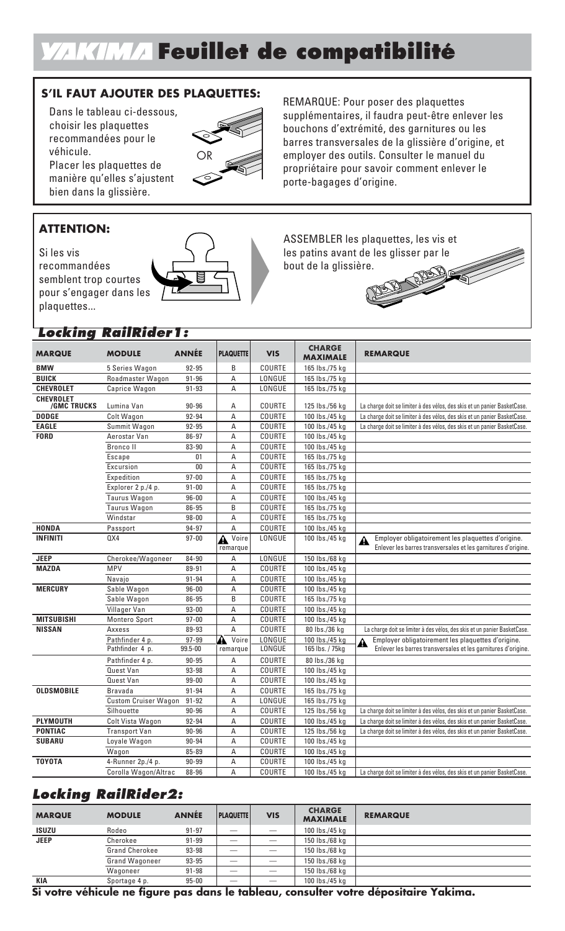# **Feuillet de compatibilité**

### **S'IL FAUT AJOUTER DES PLAQUETTES:**

Dans le tableau ci-dessous, choisir les plaquettes recommandées pour le véhicule.

Placer les plaquettes de manière qu'elles s'ajustent bien dans la glissière.

#### **ATTENTION:**

Si les vis recommandées semblent trop courtes pour s'engager dans les plaquettes...

#### **Locking RailRider1:**

| <b>MARQUE</b>                          | <b>MODULE</b>               | <b>ANNÉE</b> | <b>PLAQUETTE</b>        | <b>VIS</b>    | <b>CHARGE</b><br><b>MAXIMALE</b> | <b>REMARQUE</b>                                                                                                          |
|----------------------------------------|-----------------------------|--------------|-------------------------|---------------|----------------------------------|--------------------------------------------------------------------------------------------------------------------------|
| <b>BMW</b>                             | 5 Series Wagon              | 92-95        | B                       | COURTE        | 165 lbs./75 kg                   |                                                                                                                          |
| <b>BUICK</b>                           | Roadmaster Wagon            | $91 - 96$    | Α                       | LONGUE        | 165 lbs./75 kg                   |                                                                                                                          |
| <b>CHEVROLET</b>                       | Caprice Wagon               | $91 - 93$    | А                       | LONGUE        | 165 lbs./75 kg                   |                                                                                                                          |
| <b>CHEVROLET</b><br><b>/GMC TRUCKS</b> | Lumina Van                  | $90 - 96$    | А                       | COURTE        | 125 lbs./56 kg                   | La charge doit se limiter à des vélos, des skis et un panier BasketCase.                                                 |
| <b>DODGE</b>                           | Colt Wagon                  | 92-94        | A                       | COURTE        | 100 lbs./45 kg                   | La charge doit se limiter à des vélos, des skis et un panier BasketCase.                                                 |
| <b>EAGLE</b>                           | Summit Wagon                | $92 - 95$    | А                       | COURTE        | 100 lbs./45 kg                   | La charge doit se limiter à des vélos, des skis et un panier BasketCase.                                                 |
| <b>FORD</b>                            | Aerostar Van                | 86-97        | А                       | COURTE        | 100 lbs./45 kg                   |                                                                                                                          |
|                                        | <b>Bronco</b> II            | 83-90        | Α                       | <b>COURTE</b> | 100 lbs./45 kg                   |                                                                                                                          |
|                                        | Escape                      | 01           | А                       | <b>COURTE</b> | 165 lbs./75 kg                   |                                                                                                                          |
|                                        | Excursion                   | $00\,$       | А                       | <b>COURTE</b> | 165 lbs./75 kg                   |                                                                                                                          |
|                                        | Expedition                  | $97 - 00$    | А                       | <b>COURTE</b> | 165 lbs./75 kg                   |                                                                                                                          |
|                                        | Explorer 2 p./4 p.          | $91 - 00$    | А                       | COURTE        | 165 lbs./75 kg                   |                                                                                                                          |
|                                        | <b>Taurus Wagon</b>         | $96 - 00$    | А                       | COURTE        | 100 lbs./45 kg                   |                                                                                                                          |
|                                        | Taurus Wagon                | 86-95        | B                       | COURTE        | 165 lbs./75 kg                   |                                                                                                                          |
|                                        | Windstar                    | $98 - 00$    | Α                       | COURTE        | 165 lbs./75 kg                   |                                                                                                                          |
| <b>HONDA</b>                           | Passport                    | 94-97        | А                       | <b>COURTE</b> | 100 lbs./45 kg                   |                                                                                                                          |
| <b>INFINITI</b>                        | QX4                         | $97 - 00$    | Voire<br>A<br>remarque  | LONGUE        | 100 lbs./45 kg                   | Employer obligatoirement les plaquettes d'origine.<br>A<br>Enlever les barres transversales et les garnitures d'origine. |
| <b>JEEP</b>                            | Cherokee/Wagoneer           | 84-90        | А                       | LONGUE        | 150 lbs./68 kg                   |                                                                                                                          |
| <b>MAZDA</b>                           | <b>MPV</b>                  | 89-91        | А                       | COURTE        | 100 lbs./45 kg                   |                                                                                                                          |
|                                        | Navajo                      | $91 - 94$    | А                       | COURTE        | 100 lbs./45 kg                   |                                                                                                                          |
| <b>MERCURY</b>                         | Sable Wagon                 | $96 - 00$    | Α                       | <b>COURTE</b> | 100 lbs./45 kg                   |                                                                                                                          |
|                                        | Sable Wagon                 | 86-95        | B                       | <b>COURTE</b> | 165 lbs./75 kg                   |                                                                                                                          |
|                                        | Villager Van                | $93 - 00$    | А                       | COURTE        | 100 lbs./45 kg                   |                                                                                                                          |
| <b>MITSUBISHI</b>                      | <b>Montero Sport</b>        | $97 - 00$    | А                       | <b>COURTE</b> | 100 lbs./45 kg                   |                                                                                                                          |
| <b>NISSAN</b>                          | Axxess                      | 89-93        | A                       | <b>COURTE</b> | 80 lbs./36 kg                    | La charge doit se limiter à des vélos, des skis et un panier BasketCase.                                                 |
|                                        | Pathfinder 4 p.             | $97 - 99$    | Voire<br>$\blacksquare$ | LONGUE        | 100 lbs./45 kg                   | Employer obligatoirement les plaquettes d'origine.<br>$\hat{\mathbf{A}}$                                                 |
|                                        | Pathfinder 4 p.             | 99.5-00      | remarque                | LONGUE        | 165 lbs. / 75kg                  | Enlever les barres transversales et les garnitures d'origine.                                                            |
|                                        | Pathfinder 4 p.             | $90 - 95$    | А                       | COURTE        | 80 lbs./36 kg                    |                                                                                                                          |
|                                        | <b>Quest Van</b>            | 93-98        | A                       | COURTE        | 100 lbs./45 kg                   |                                                                                                                          |
|                                        | <b>Quest Van</b>            | $99 - 00$    | А                       | <b>COURTE</b> | 100 lbs./45 kg                   |                                                                                                                          |
| <b>OLDSMOBILE</b>                      | <b>Bravada</b>              | $91 - 94$    | А                       | COURTE        | 165 lbs./75 kg                   |                                                                                                                          |
|                                        | <b>Custom Cruiser Wagon</b> | $91 - 92$    | А                       | LONGUE        | 165 lbs./75 kg                   |                                                                                                                          |
|                                        | Silhouette                  | $90 - 96$    | A                       | COURTE        | 125 lbs./56 kg                   | La charge doit se limiter à des vélos, des skis et un panier BasketCase.                                                 |
| <b>PLYMOUTH</b>                        | Colt Vista Wagon            | 92-94        | А                       | <b>COURTE</b> | 100 lbs./45 kg                   | La charge doit se limiter à des vélos, des skis et un panier BasketCase.                                                 |
| <b>PONTIAC</b>                         | <b>Transport Van</b>        | $90 - 96$    | Α                       | COURTE        | 125 lbs./56 kg                   | La charge doit se limiter à des vélos, des skis et un panier BasketCase.                                                 |
| <b>SUBARU</b>                          | Loyale Wagon                | $90 - 94$    | А                       | <b>COURTE</b> | 100 lbs./45 kg                   |                                                                                                                          |
|                                        | Wagon                       | 85-89        | А                       | <b>COURTE</b> | 100 lbs./45 kg                   |                                                                                                                          |
| <b>TOYOTA</b>                          | 4-Runner 2p./4 p.           | $90 - 99$    | А                       | COURTE        | 100 lbs./45 kg                   |                                                                                                                          |
|                                        | Corolla Wagon/Altrac        | 88-96        | A                       | <b>COURTE</b> | 100 lbs./45 kg                   | La charge doit se limiter à des vélos, des skis et un panier BasketCase.                                                 |

### **Locking RailRider2:**

| <b>MARQUE</b> | <b>MODULE</b>         | <b>ANNÉE</b> | <b>PLAQUETTE</b> | <b>VIS</b> | <b>CHARGE</b><br><b>MAXIMALE</b> | <b>REMARQUE</b> |
|---------------|-----------------------|--------------|------------------|------------|----------------------------------|-----------------|
| <b>ISUZU</b>  | Rodeo                 | $91 - 97$    |                  |            | 100 lbs./45 kg                   |                 |
| <b>JEEP</b>   | Cherokee              | $91 - 99$    |                  |            | 150 lbs./68 kg                   |                 |
|               | <b>Grand Cherokee</b> | $93 - 98$    |                  |            | 150 lbs./68 kg                   |                 |
|               | <b>Grand Wagoneer</b> | $93 - 95$    |                  |            | 150 lbs./68 kg                   |                 |
|               | Wagoneer              | $91 - 98$    |                  |            | 150 lbs./68 kg                   |                 |
| <b>KIA</b>    | Sportage 4 p.         | $95 - 00$    |                  | $-$        | 100 lbs./45 kg                   |                 |

**Si votre véhicule ne figure pas dans le tableau, consulter votre dépositaire Yakima.**



REMARQUE: Pour poser des plaquettes supplémentaires, il faudra peut-être enlever les bouchons d'extrémité, des garnitures ou les barres transversales de la glissière d'origine, et employer des outils. Consulter le manuel du propriétaire pour savoir comment enlever le porte-bagages d'origine.